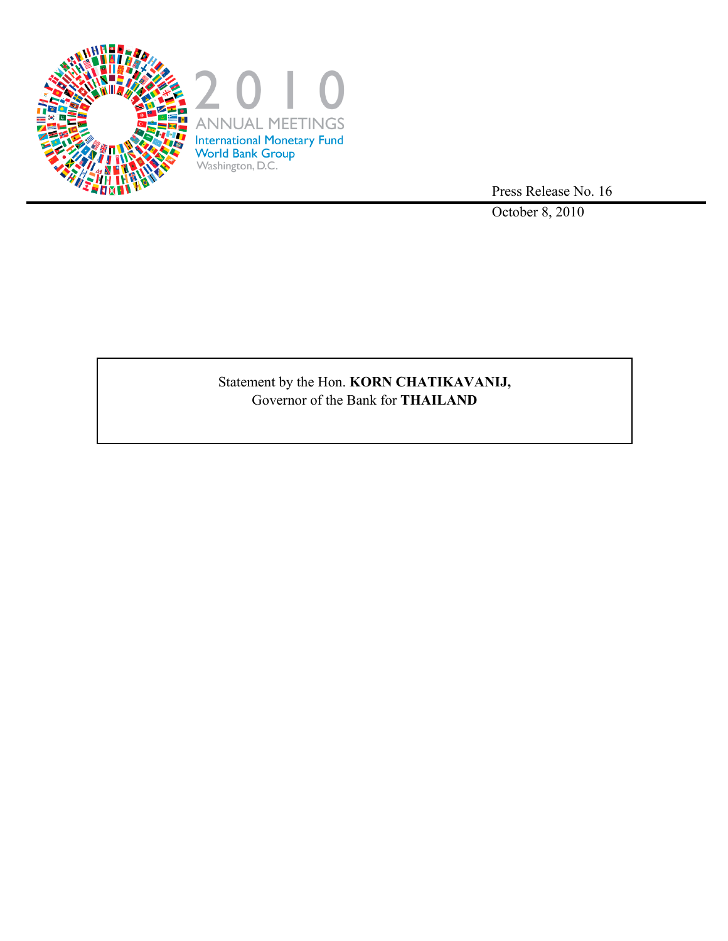

Press Release No. 16

October 8, 2010

# Statement by the Hon. **KORN CHATIKAVANIJ,** Governor of the Bank for **THAILAND**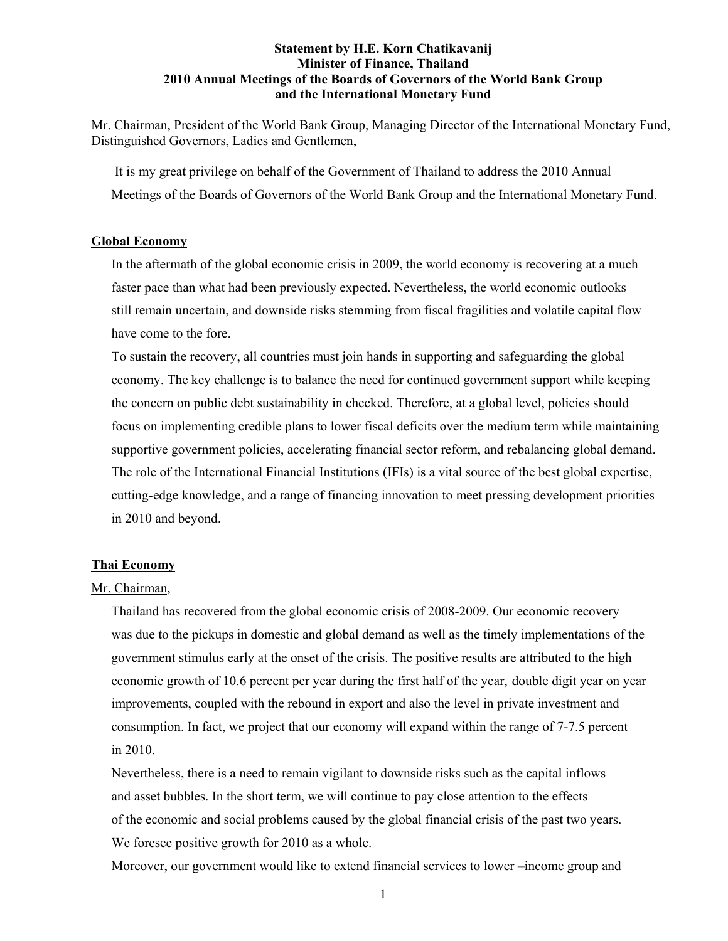## **Statement by H.E. Korn Chatikavanij Minister of Finance, Thailand 2010 Annual Meetings of the Boards of Governors of the World Bank Group and the International Monetary Fund**

Mr. Chairman, President of the World Bank Group, Managing Director of the International Monetary Fund, Distinguished Governors, Ladies and Gentlemen,

 It is my great privilege on behalf of the Government of Thailand to address the 2010 Annual Meetings of the Boards of Governors of the World Bank Group and the International Monetary Fund.

## **Global Economy**

In the aftermath of the global economic crisis in 2009, the world economy is recovering at a much faster pace than what had been previously expected. Nevertheless, the world economic outlooks still remain uncertain, and downside risks stemming from fiscal fragilities and volatile capital flow have come to the fore.

To sustain the recovery, all countries must join hands in supporting and safeguarding the global economy. The key challenge is to balance the need for continued government support while keeping the concern on public debt sustainability in checked. Therefore, at a global level, policies should focus on implementing credible plans to lower fiscal deficits over the medium term while maintaining supportive government policies, accelerating financial sector reform, and rebalancing global demand. The role of the International Financial Institutions (IFIs) is a vital source of the best global expertise, cutting-edge knowledge, and a range of financing innovation to meet pressing development priorities in 2010 and beyond.

#### **Thai Economy**

## Mr. Chairman,

Thailand has recovered from the global economic crisis of 2008-2009. Our economic recovery was due to the pickups in domestic and global demand as well as the timely implementations of the government stimulus early at the onset of the crisis. The positive results are attributed to the high economic growth of 10.6 percent per year during the first half of the year, double digit year on year improvements, coupled with the rebound in export and also the level in private investment and consumption. In fact, we project that our economy will expand within the range of 7-7.5 percent in 2010.

Nevertheless, there is a need to remain vigilant to downside risks such as the capital inflows and asset bubbles. In the short term, we will continue to pay close attention to the effects of the economic and social problems caused by the global financial crisis of the past two years. We foresee positive growth for 2010 as a whole.

Moreover, our government would like to extend financial services to lower –income group and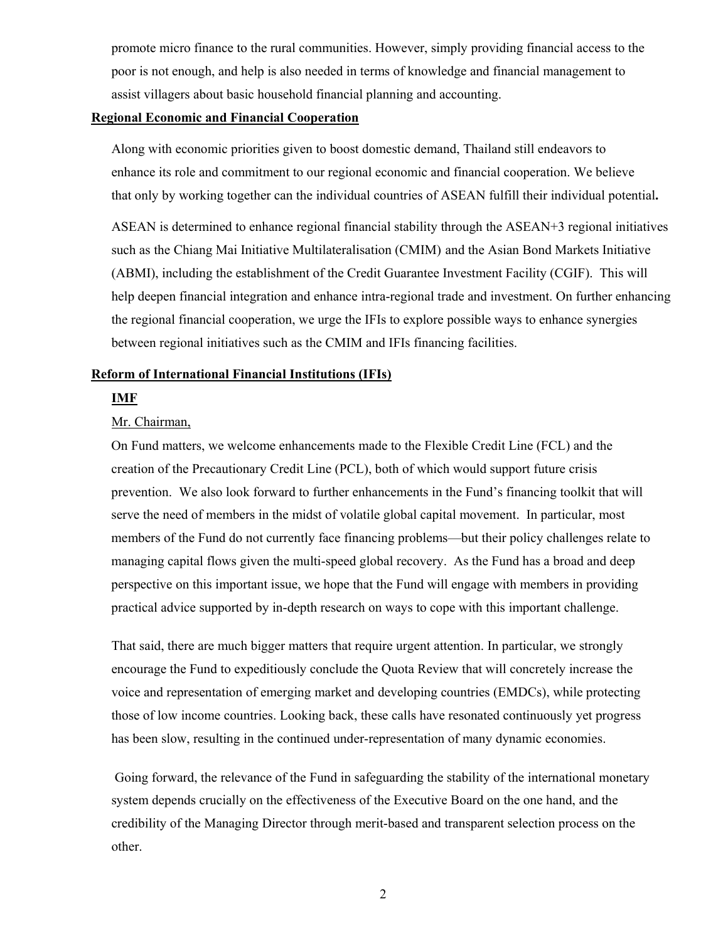promote micro finance to the rural communities. However, simply providing financial access to the poor is not enough, and help is also needed in terms of knowledge and financial management to assist villagers about basic household financial planning and accounting.

## **Regional Economic and Financial Cooperation**

 Along with economic priorities given to boost domestic demand, Thailand still endeavors to enhance its role and commitment to our regional economic and financial cooperation. We believe that only by working together can the individual countries of ASEAN fulfill their individual potential**.**

ASEAN is determined to enhance regional financial stability through the ASEAN+3 regional initiatives such as the Chiang Mai Initiative Multilateralisation (CMIM) and the Asian Bond Markets Initiative (ABMI), including the establishment of the Credit Guarantee Investment Facility (CGIF). This will help deepen financial integration and enhance intra-regional trade and investment. On further enhancing the regional financial cooperation, we urge the IFIs to explore possible ways to enhance synergies between regional initiatives such as the CMIM and IFIs financing facilities.

## **Reform of International Financial Institutions (IFIs)**

#### **IMF**

#### Mr. Chairman,

On Fund matters, we welcome enhancements made to the Flexible Credit Line (FCL) and the creation of the Precautionary Credit Line (PCL), both of which would support future crisis prevention. We also look forward to further enhancements in the Fund's financing toolkit that will serve the need of members in the midst of volatile global capital movement. In particular, most members of the Fund do not currently face financing problems—but their policy challenges relate to managing capital flows given the multi-speed global recovery. As the Fund has a broad and deep perspective on this important issue, we hope that the Fund will engage with members in providing practical advice supported by in-depth research on ways to cope with this important challenge.

That said, there are much bigger matters that require urgent attention. In particular, we strongly encourage the Fund to expeditiously conclude the Quota Review that will concretely increase the voice and representation of emerging market and developing countries (EMDCs), while protecting those of low income countries. Looking back, these calls have resonated continuously yet progress has been slow, resulting in the continued under-representation of many dynamic economies.

 Going forward, the relevance of the Fund in safeguarding the stability of the international monetary system depends crucially on the effectiveness of the Executive Board on the one hand, and the credibility of the Managing Director through merit-based and transparent selection process on the other.